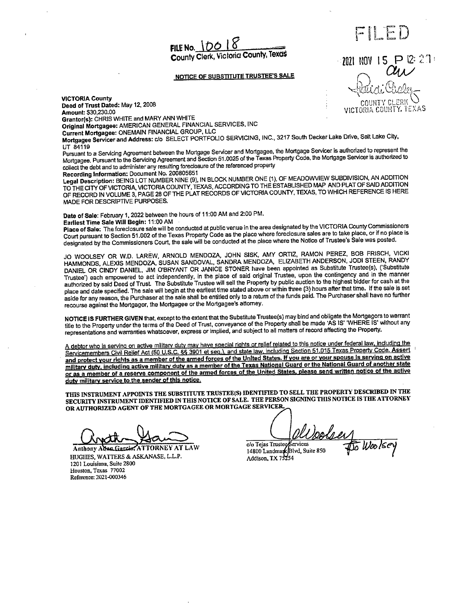FILE No.  $10018$ County Clerk, Victoria County, Texas

#### NOTICE OF SUBSTITUTE TRUSTEE'S SALE

VICTORIA County Deed of Trust Dated: May 12, 2008<br> **Deed of Trust Dated: May 12, 2008**<br> **Amount: \$30,230.00** Amount:\$ 30, 230. <sup>00</sup> VICTORIA CCU1-1TY. I+EXAS Grantor(s): CHRIS WHITE and MARY ANN WHITE

Original Mortgagee: AMERICAN GENERAL FINANCIAL SERVICES, INC

Current Mortgagee: ONEMAIN FINANCIAL GROUP, LLC Mortgagee Servicer and Address: do SELECT PORTFOLIO SERVICING, INC., 3217 South Decker Lake Drive, Salt Lake City,

UT 84119<br>Pursuant to a Servicing Agreement between the Mortgage Servicer and Mortgagee, the Mortgage Servicer is authorized to represent the Pursuant to a Servicing Agreement between the Mortgage Servicer and Mortgage Servicer is authorized to represent the Mortgage Servicer is authorized to Mortgagee. Pursuant to the Servicing Agreement and Section 51. 0025 of the Texas Property Code, the Mortgage Servicer is authorized to collect the debt and to administer any resulting foreclosure of the referenced property<br>Recording Information: Document No. 200805651

Recording Information: Document No. 200805651<br>Legal Description: BEING LOT NUMBER NINE (9), IN BLOCK NUMBER ONE (1), OF MEADOWVIEW SUBDIVISION, AN ADDITION TO THE CITY OF VICTORIA, VICTORIA COUNTY, TEXAS, ACCORDING TO THE COUNTY TEXAS. TO MULCUL BEFERENCE IS HERE OF RECORD IN VOLUME 3, PAGE 28 OF THE PLAT RECORDS OF VICTORIA COUNTY, TEXAS, TO WHICH REFERENCE IS HERE MADE FOR DESCRIPTIVE PURPOSES.

Date of Sale: February 1, 2022 between the hours of 11:00 AM and 2:00 PM.<br>Earliest Time Sale Will Begin: 11:00 AM

Earliest Time Sale Will Begin: 11: 00 AM

Place of Sale: The foreclosure sale will be conducted at public venue in the area designated by the VICTORIA County County County Commission Court pursuant to Section 51.002 of the Texas Property Code as the place where the Notice of Trustee's Sale was posted.<br>designated by the Commissioners Court, the sale will be conducted at the place where the Notice of Tru

JO WOOLSEY OR W.D. LAREW, ARNOLD MENDOZA, JOHN SISK, AMY ORTIZ, RAMON PEREZ, BOB FRISCH, VICKI HAMMONDS, ALEXIS MENDOZA, SUSAN SANDOVAL, SANDRA MENDOZA, ELIZABETH ANDERSON, JODI STEEN, RANDY DANIEL OR CINDY DANIEL, JIM O'BRYANT OR JANICE STONER have been appointed as Substitute Trustee(s), ('Substitute Trustee') each empowered to act independently, in the place of said original Trustee, upon the contingency and in the manner authorized by said Deed of Trust. The Substitute Trustee will sell the Property by public auction to the highest bidder for cash at the place and date specified. The sale will begin at the earliest time stated above or wit place and date specified. The sale will begin at the earliest time stated above or within the state paid. The Durchaser shall have no further aside for any reason, the Purchaser at the sale shall be entitled only to a return of the funds paid. The Canada return of the funds paid. The Canada return of the Furthermore, and funds in the Purchaser shall have no furt recourse against the Mortgagor, the Mortgagee or the Mortgagee's attorney.

NOTICE IS FURTHER GIVEN that, except to the extent that the Substitute Trustee(s) may bind and obligate the Mortgagors to warrant title to the Property under the terms of the Deed of Trust, conveyance of the Property shall be made 'AS IS' 'WHERE IS' without any representations and warranties whatsoever, express or implied, and subject to all matters of record affecting the Property.

A debtor who is serving on active military duty may have special rights or relief related to this notice under federal law, including the Servicemembers Civil Relief Act( 50 U.S.C.& 6 3901 et sea), and state law, including Section 51. 015 Texas Property Code. Assert and protect your rights as a member of the armed forces of the United States. If you are or your spouse is serving on active military duty, including active military duty as a member of the Texas National Guard or the National Guard of another state or as a member of a reserve component of the armed forces of the United States, please send written notice of the active duty military service to the sender of this notice. For any reason, the Purchase at an use summer behaviour of the states Internal term in the state of the Mortgage of the Mortgage Stating.<br>
Se against the Mortgage of the Mortgage Stating.<br>
The Secrety under the terms of t

THIS INSTRUMENT APPOINTS THE SUBSTITUTE TRUSTEE(S) IDENTIFIED TO SELL THE PROPERTY DESCRIBED IN THE SECURITY INSTRUMENT IDENTIFIED IN THIS NOTICE OF SALE. THE PERSON SIGNING THIS NOTICE IS THE ATTORNEY OR AUTHORIZED AGENT OF THE MORTGAGEE OR MORTGAGE SERVICER.

Anthony Adva Garcier ATTORNEY AT LAW<br>HUGHES, WATTERS & ASKANASE, L.L.P. 1201 Louisiana, Suite 2800 Houston, Texas 77002 Reference: 2021-000346

Upolsey<br>To Woolsey

c/o Tejas Trustee Services<br>14800 Landmark Blvd, Suite 850<br>Addison, TX 75254



FILED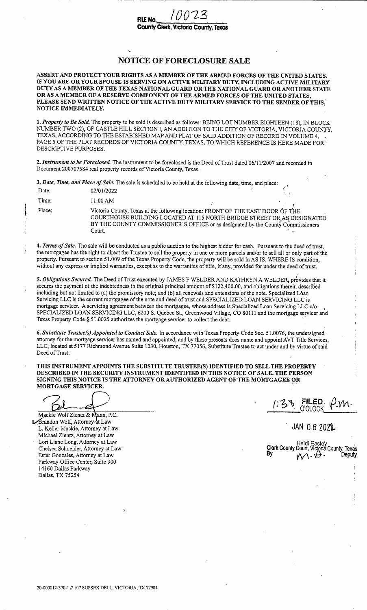### NOTICE OF FORECLOSURE SALE

ASSERT AND PROTECT YOUR RIGHTS AS A MEMBER OF THE ARMED FORCES OF THE UNITED STATES. IF YOU ARE OR YOUR SPOUSE IS SERVING ON ACTIVE MILITARY DUTY, INCLUDING ACTIVE MILITARY DUTY AS A MEMBER OF THE TEXAS NATIONAL GUARD OR THE NATIONAL GUARD OR ANOTHER STATE OR AS A MEMBER OF A RESERVE COMPONENT OF THE ARMED FORCES OF THE UNITED STATES, PLEASE SEND WRITTEN NOTICE OF THE ACTIVE DUTY MILITARY SERVICE TO THE SENDER OF THIS: NOTICE IMMEDIATELY.

1. Property to Be Sold. The property to be sold is described as follows: BEING LOT NUMBER EIGHTEEN (18), IN BLOCK NUMBER TWO( 2), OF CASTLE HILL SECTION I, AN ADDITION TO THE CITY OF VICTORIA, VICTORIA COUNTY, TEXAS, ACCORDING TO THE ESTABISHED MAP AND PLAT OF SAID ADDITION OF RECORD IN VOLUME 4, PAGE 5 OF THE PLAT RECORDS OF VICTORIA COUNTY, TEXAS, TO WHICH REFERENCE IS HERE MADE FOR' DESCRIPTIVE PURPOSES.

2. Instrument to be Foreclosed. The instrument to be foreclosed is the Deed of Trust dated 06/11/2007 and recorded in Document 200707584 real property records of Victoria County, Texas.

3. Date, Time, and Place of Sale. The sale is scheduled to be held at the following date, time, and place:

| Date:  | 02/01/2022 |                                                                                                                                                                                                                                                |  |
|--------|------------|------------------------------------------------------------------------------------------------------------------------------------------------------------------------------------------------------------------------------------------------|--|
| Time:  | 11:00 AM   |                                                                                                                                                                                                                                                |  |
| Place: | Court.     | Victoria County, Texas at the following location: FRONT OF THE EAST DOOR OF THE<br>COURTHOUSE BUILDING LOCATED AT 115 NORTH BRIDGE STREET OR AS DESIGNATED<br>BY THE COUNTY COMMISSIONER'S OFFICE or as designated by the County Commissioners |  |

4. Terms of Sale. The sale will be conducted as a public auction to the highest bidder for cash. Pursuant to the deed of trust, the mortgagee has the right to direct the Trustee to sell the property in one or more parcels and/or to sell all or only part of the property. Pursuant to section 51. 009 of the Texas Property Code, the property will be sold in AS IS, WHERE IS condition, without any express or implied warranties, except as to the warranties of title, if any, provided for under the deed of trust.

5. Obligations Secured. The Deed of Trust executed by JAMES F WELDER AND KATHRYN A WELDER, provides that it secures the payment of the indebtedness in the original principal amount of \$122,400.00, and obligations therein described including but not limited to (a) the promissory note; and (b) all renewals and extensions of the note. Specialized Loan Servicing LLC is the current mortgagee of the note and deed of trust and SPECIALIZED LOAN SERVICING LLC is mortgage servicer. A servicing agreement between the mortgagee, whose address is Specialized Loan Servicing LLC c/o SPECIALIZED LOAN SERVICING LLC, 6200 S. Quebec St., Greenwood Village, CO 80111 and the mortgage servicer and Texas Property Code § 51. 0025 authorizes the mortgage servicer to collect the debt.

6. Substitute Trustee(s) Appointed to Conduct Sale. In accordance with Texas Property Code Sec. 51.0076, the undersigned attorney for the mortgage servicer has named and appointed, and by these presents does name and appoint AVT Title Services, LLC, located at 5177 Richmond Avenue Suite 1230, Houston, TX 77056, Substitute Trustee to act under and by virtue of said Deed of Trust.

THIS INSTRUMENT APPOINTS THE SUBSTITUTE TRUSTEE(S) IDENTIFIED TO SELL THE PROPERTY DESCRIBED IN THE SECURITY INSTRUMENT IDENTIFIED IN THIS NOTICE OF SALE. THE PERSON SIGNING THIS NOTICE IS THE ATTORNEY OR AUTHORIZED AGENT OF THE MORTGAGEE OR MORTGAGE SERVICER.

Mackie Wolf Zientz & Mann, P.C. **Arandon Wolf, Attorney at Law** L. Keller Mackie, Attorney at Law JAM 0 6 2021. Michael Zientz, Attorney at Law Lori Liane Long, Attorney at Law Heidi Easley<br>Chelsea Schneider, Attorney at Law **Heidi Easley**<br>Ry By Heidi Easley Ester Gonzales, Attorney at Law Parkway Office Center, Suite 900 14160 Dallas Parkway Dallas, TX 75254

38 FILED P.VN

Chelsea Schneider, Attorney at Law Chelsea Schneider, Attorney at Law Clerk County Court, Victoria County, Texas<br>Clerk County Court, Victoria County, Texas

þ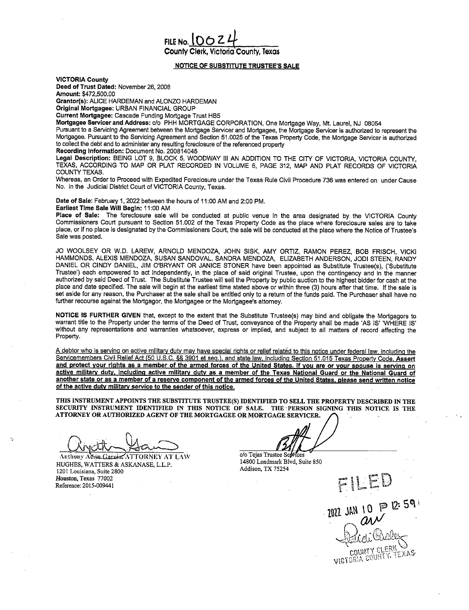# FILE No. <u>[ 0 6 Z 4</u><br>County Clerk, Victoria County, Texas

#### **NOTICE OF SUBSTITUTE TRUSTEE'S SALE**

VICTORIA County

Deed of Trust Dated: November 26, 2008 Amount: \$472,500.00

Grantor(s): ALICE HARDEMAN and ALONZO HARDEMAN

Original Mortgagee: URBAN FINANCIAL GROUP Current Mortgagee: Cascade Funding Mortgage Trust HB5

Mortgagee Servicer and Address: c/ o PHH MORTGAGE CORPORATION, One Mortgage Way, Mt. Laurel, NJ 08054

Pursuant to a Servicing Agreement between the Mortgage Servicer and Mortgagee, the Mortgage Servicer is authorized to represent the Mortgagee. Pursuant to the Servicing Agreement and Section 51. 0025 of the Texas Property Code, the Mortgage Servicer is authorized to collect the debt and to administer any resulting foreclosure of the referenced property

Recording Information: Document No. 200814045

Legal Description: BEING LOT 9, BLOCK 5, WOODWAY III AN ADDITION TO THE CITY OF VICTORIA, VICTORIA COUNTY, TEXAS, ACCORDING TO MAP OR PLAT RECORDED IN VOLUME 6, PAGE 312, MAP AND PLAT RECORDS OF VICTORIA COUNTY TEXAS.

Whereas, an Order to Proceed with Expedited Foreclosure under the Texas Rule Civil Procedure 736 was entered on under Cause No. in the Judicial District Court of VICTORIA County, Texas.

Date of Sale: February 1, 2022 between the hours of 11:00 AM and 2:00 PM.

Earliest Time Sale Will Begin: 11:00 AM

Place of Sale: The foreclosure sale will be conducted at public venue in the area designated by the VICTORIA County Commissioners Court pursuant to Section 51. 002 of the Texas Property Code as the place where foreclosure sales are to take place, or if no place is designated by the Commissioners Court, the sale will be conducted at the place where the Notice of Trustee' s Sale was posted.

JO WOOLSEY OR W.D. LAREW, ARNOLD MENDOZA, JOHN SISK, AMY ORTIZ, RAMON PEREZ, BOB FRISCH, VICKI HAMMONDS, ALEXIS MENDOZA, SUSAN SANDOVAL, SANDRA MENDOZA, ELIZABETH ANDERSON, JODI STEEN, RANDY DANIEL OR CINDY DANIEL, JIM O'BRYANT OR JANICE STONER have been appointed as Substitute Trustee(s), ('Substitute Trustee') each empowered to act independently, in the place of said original Trustee, upon the contingency and in the manner authorized by said Deed of Trust. The Substitute Trustee will sell the Property by public auction to the highest bidder for cash at the place and date specified. The sale will begin at the earliest time stated above or within three( 3) hours after that time. If the sale is set aside for any reason, the Purchaser at the sale shall be entitled only to a return of the funds paid. The Purchaser shall have no further recourse against the Mortgagor, the Mortgagee or the Mortgagee's attorney.

NOTICE IS FURTHER GIVEN that, except to the extent that the Substitute Trustee(s) may bind and obligate the Mortgagors to warrant title to the Property under the terms of the Deed of Trust, conveyance of the Property shall be made ' AS IS' ' WHERE IS' without any representations and warranties whatsoever, express or implied, and subject to all matters of record affecting the Property.

A debtor who is serving on active military duty may have special rights or relief related to this notice under federal law, including the Servicemembers Civil Relief Act (50 U.S.C. §§ 3901 et seq.), and state law, including Section 51.015 Texas Property Code. Assert and protect your rights as a member of the armed forces of the United States. If you are or your spouse is serving on active military duty, including active military duty as a member of the Texas National Guard or the National Guard of another state or as a member of a reserve component of the armed forces of the United States, please send written notice of the active duty military service to the sender of this notice.

THIS INSTRUMENT APPOINTS THE SUBSTITUTE TRUSTEE(S) IDENTIFIED TO SELL THE PROPERTY DESCRIBED IN THE SECURITY INSTRUMENT IDENTIFIED IN THIS NOTICE OF SALE. THE PERSON SIGNING THIS NOTICE IS THE ATTORNEY OR AUTHORIZED AGENT OF THE MORTGAGEE OR MORTGAGE SERVICER.

Anthony Atten Carcier, ATTORNEY AT LAW C/o Tejas Trustee Settles HUGHES, WATTERS& ASKANASE, L.L.P. 1201 Louisiana, Suite 2800 Houston, Texas 77002<br>Reference: 2015-009441 Houston, Texas 77002<br>Reference: 2015-009441 December 2015-009441

 $2022$  JAN 10  $P^{2.59}$ 

COUNTY SLERI **VICTORIA** COUNTY TEXAS

14800 Landmark Blvd, Suite 850 Addison, TX 75254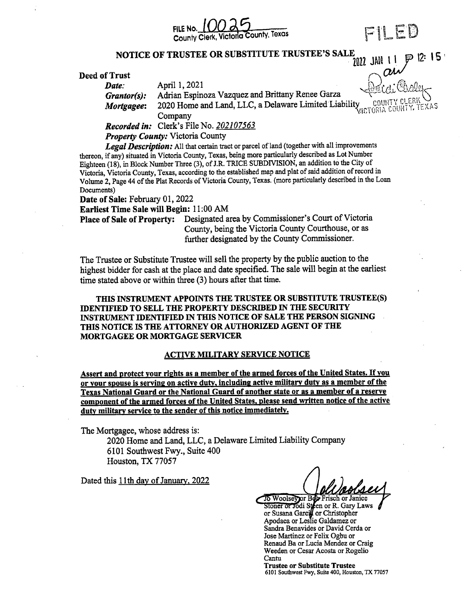

p 12: 15 '

N ी

NOTICE OF TRUSTEE OR SUBSTITUTE TRUSTEE'S SALE 7022 JAN 1

## $\frac{1}{2}$ <br>Deed of Trust form  $\frac{1}{2}$  and  $\frac{1}{2}$   $\frac{2021}{202}$

**Date:** April 1, 2021

Grantor(s): Adrian Espinoza Vazquez and Brittany Renee Garza

Mortgagee: 2020 Home and Land, LLC, a Delaware Limited Liability victoria count

Company

Recorded in: Clerk's File No. 202107563

Property County: Victoria County

Legal Description: All that certain tract or parcel of land (together with all improvements thereon, if any) situated in Victoria County, Texas, being more particularly described as Lot Number Eighteen (18), in Block Number Three (3), of J.R. TRICE SUBDIVISION, an addition to the City of Victoria, Victoria County, Texas, according to the established map and plat of said addition ofrecord in Volume 2, Page 44 of the Plat Records of Victoria County, Texas. (more particularly described in the Loan Documents)

Date of Sale: February 01, 2022

Earliest Time Sale will Begin: 11:00 AM

Place of Sale of Property: Designated area by Commissioner's Court of Victoria County, being the Victoria County Courthouse, or as further designated by the County Commissioner.

The Trustee or Substitute Trustee will sell the property by the public auction to the highest bidder for cash at the place and date specified. The sale will begin at the earliest time stated above or within three (3) hours after that time.

THIS INSTRUMENT APPOINTS THE TRUSTEE OR SUBSTITUTE TRUSTEE(S) IDENTIFIED TO SELL THE PROPERTY DESCRIBED IN THE SECURITY INSTRUMENT IDENTIFIED IN THIS NOTICE OF SALE THE PERSON SIGNING THIS NOTICE IS THE ATTORNEY OR AUTHORIZED AGENT OF THE MORTGAGEE OR MORTGAGE SERVICER

### ACTIVE MILITARY SERVICE NOTICE

Assert and protect your rights as <sup>a</sup> member of the armed forces of the United States. If you or your spouse is serving on active duty, including active military duty as <sup>a</sup> member of the Texas National Guard or the National Guard of another state or as a member of a reserve component of the armed forces of the United States, please send written notice of the active duty military service to the sender of this notice immediately.

The Mortgagee, whose address is:

2020 Home and Land, LLC, a Delaware Limited Liability Company 6101 Southwest Fwy., Suite 400 Houston, TX 77057

Dated this 11th day of January, 2022

To Woolsey or Bdy Frisch or Janice oner or Jodi Steen or R. Gary Laws or Susana Garci**l** or Christophe Apodaca or Leslie Galdamez or Sandra Benavides or David Cerda or Jose Martinez or Felix Ogbu or Renaud Ba or Lucia Mendez or Craig Weeden or Cesar Acosta or Rogelio Cantu

Trustee or Substitute Trustee <sup>6101</sup> Southwest Fwy, Suite 400, Houston, TX <sup>77057</sup>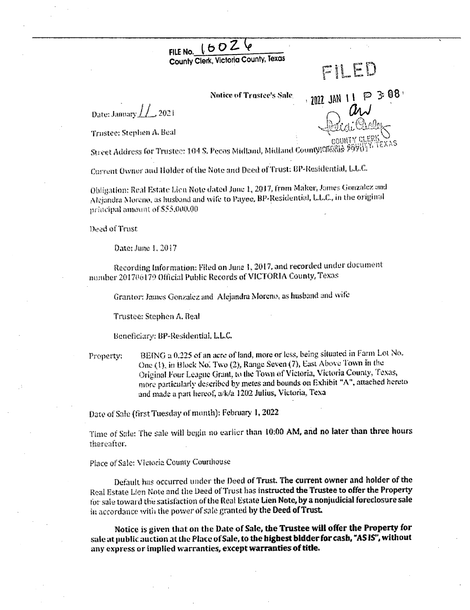### FILE No.  $160\overline{2}$ County Clerk, Victoria County, Texas

### FILED

**Notice of Trastee's Sale** 

Date: Jamary  $\int\int_{-\infty}^{\infty} 2021$ 

Trustee: Stephen A. Beal

ခ 3:08' 2022 JAN 1 1

Street Address for Trustee: 104 S. Pecos Midland, Midland County)CIORIS 25

Current Owner and Holder of the Note and Deed of Trust: BP-Residential, L.L.C.

Obligation: Real Estate Lien Note dated June 1, 2017, from Maker, James Gonzalez and Alejandra Moreno, as husband and wife to Payee, BP-Residential, L.L.C., in the original mriteinal amount of \$55,000.00

Deed of Trust

Date: June 1, 2017

Recording Information: Filed on June 1, 2017, and recorded under document number 201706179 Official Public Records of VICTORIA County, Texas

Grantor: James Gonzalez and Alejandra Moreno, as husband and wife

Trustee: Stephen A. Beal

Beneficiary: BP-Residential, L.L.C.

BEING a 0.225 of an acre of land, more or less, being situated in Farm Lot No. Property: One (1), in Block No. Two (2), Range Seven (7), East Above Town in the Original Four League Grant, to the Town of Victoria, Victoria County, Texas, more particularly described by metes and bounds on Exhibit "A", attached hereto and made a part hereof, a/k/a 1202 Julius, Victoria, Texa

Date of Sale (first Tuesday of month): February 1, 2022

Time of Sale: The sale will begin no earlier than 10:00 AM, and no later than three hours thareafter.

### Place of Sale: Vlctoria County Courthouse

Default has occurred under the Deed of Trust. The current owner and holder of the Real Estate Lien Note and the Deed of Trust has instructed the Trustee to offer the Property for sale toward the satisfaction of the Real Estate Lien Note, by a nonjudicial foreclosure sale in accordance with the power of sale granted by the Deed of Trust.

Notice is given that on the Date of Sale, the Trustee will offer the Property for sale at public auction at the Place of Sale, to the highest bidder for cash, "AS IS", without any express or implied warranties, except warranties of title.